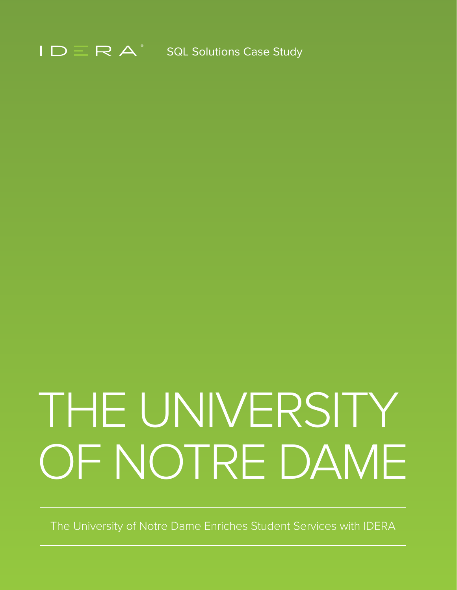

# THE UNIVERSITY OF NOTRE DAME

The University of Notre Dame Enriches Student Services with IDERA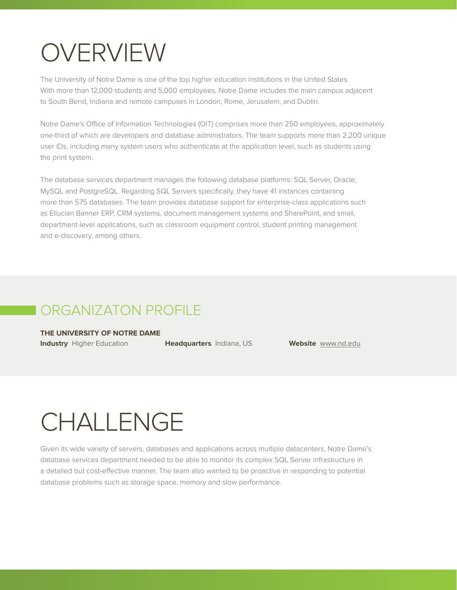#### OVERVIEW

The University of Notre Dame is one of the top higher education institutions in the United States. With more than 12,000 students and 5,000 employees, Notre Dame includes the main campus adjacent to South Bend, Indiana and remote campuses in London, Rome, Jerusalem, and Dublin.

Notre Dame's Office of Information Technologies (OIT) comprises more than 250 employees, approximately one-third of which are developers and database administrators. The team supports more than 2,200 unique user IDs, including many system users who authenticate at the application level, such as students using the print system.

The database services department manages the following database platforms: SQL Server, Oracle, MySQL and PostgreSQL. Regarding SQL Servers specifically, they have 41 instances containing more than 575 databases. The team provides database support for enterprise-class applications such as Ellucian Banner ERP, CRM systems, document management systems and SharePoint, and small, department-level applications, such as classroom equipment control, student printing management and e-discovery, among others.

#### ORGANIZATON PROFILE

**THE UNIVERSITY OF NOTRE DAME**

**Industry** Higher Education **Headquarters** Indiana, US **Website** [www.nd.edu](https://www.nd.edu/)

#### CHALLENGE

Given its wide variety of servers, databases and applications across multiple datacenters, Notre Dame's database services department needed to be able to monitor its complex SQL Server infrastructure in a detailed but cost-effective manner. The team also wanted to be proactive in responding to potential database problems such as storage space, memory and slow performance.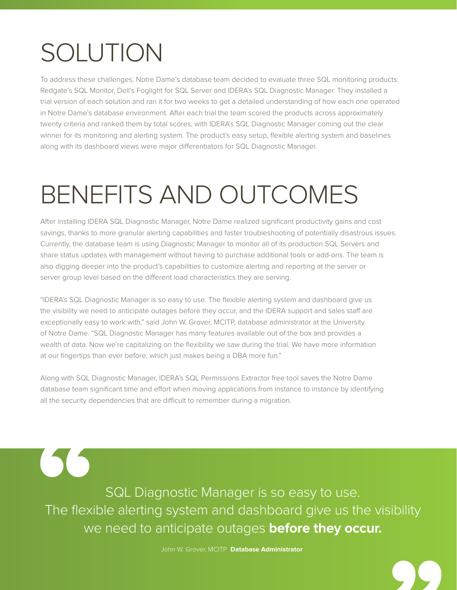### SOLUTION

 $\left(\begin{array}{c} \fbox{1} \\ \hbox{1} \end{array}\right)$ 

To address these challenges, Notre Dame's database team decided to evaluate three SQL monitoring products: Redgate's SQL Monitor, Dell's Foglight for SQL Server and IDERA's SQL Diagnostic Manager. They installed a trial version of each solution and ran it for two weeks to get a detailed understanding of how each one operated in Notre Dame's database environment. After each trial the team scored the products across approximately twenty criteria and ranked them by total scores, with IDERA's SQL Diagnostic Manager coming out the clear winner for its monitoring and alerting system. The product's easy setup, flexible alerting system and baselines along with its dashboard views were major differentiators for SQL Diagnostic Manager.

## BENEFITS AND OUTCOMES

After installing IDERA SQL Diagnostic Manager, Notre Dame realized significant productivity gains and cost savings, thanks to more granular alerting capabilities and faster troubleshooting of potentially disastrous issues. Currently, the database team is using Diagnostic Manager to monitor all of its production SQL Servers and share status updates with management without having to purchase additional tools or add-ons. The team is also digging deeper into the product's capabilities to customize alerting and reporting at the server or server group level based on the different load characteristics they are serving.

"IDERA's SQL Diagnostic Manager is so easy to use. The flexible alerting system and dashboard give us the visibility we need to anticipate outages before they occur, and the IDERA support and sales staff are exceptionally easy to work with," said John W. Grover, MCITP, database administrator at the University of Notre Dame. "SQL Diagnostic Manager has many features available out of the box and provides a wealth of data. Now we're capitalizing on the flexibility we saw during the trial. We have more information at our fingertips than ever before, which just makes being a DBA more fun."

Along with SQL Diagnostic Manager, IDERA's SQL Permissions Extractor free tool saves the Notre Dame database team significant time and effort when moving applications from instance to instance by identifying all the security dependencies that are difficult to remember during a migration.

SQL Diagnostic Manager is so easy to use. The flexible alerting system and dashboard give us the visibility we need to anticipate outages **before they occur.**